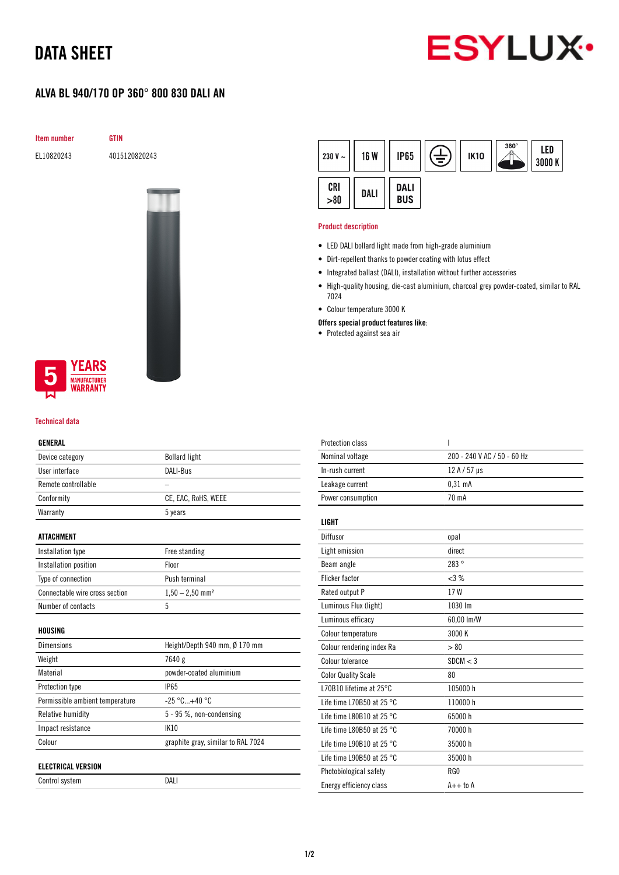# DATA SHEET



## ALVA BL 940/170 OP 360° 800 830 DALI AN

Item number GTIN

EL10820243 4015120820243



### **YEARS MANUFACTURER WARRANTY**

#### Technical data

#### GENERAL

| Device category                 | <b>Bollard light</b>               |  |
|---------------------------------|------------------------------------|--|
| User interface                  | DALI-Bus                           |  |
| Remote controllable             |                                    |  |
| Conformity                      | CE, EAC, RoHS, WEEE                |  |
| Warranty                        | 5 years                            |  |
|                                 |                                    |  |
| ATTACHMENT                      |                                    |  |
| Installation type               | Free standing                      |  |
| Installation position           | Floor                              |  |
| Type of connection              | Push terminal                      |  |
| Connectable wire cross section  | $1,50 - 2,50$ mm <sup>2</sup>      |  |
| Number of contacts              | 5                                  |  |
|                                 |                                    |  |
| HOUSING                         |                                    |  |
| <b>Dimensions</b>               | Height/Depth 940 mm, Ø 170 mm      |  |
| Weight                          | 7640 g                             |  |
| Material                        | powder-coated aluminium            |  |
| Protection type                 | <b>IP65</b>                        |  |
| Permissible ambient temperature | $-25 °C+40 °C$                     |  |
| Relative humidity               | 5 - 95 %, non-condensing           |  |
| Impact resistance               | <b>IK10</b>                        |  |
| Colour                          | graphite gray, similar to RAL 7024 |  |
|                                 |                                    |  |
| <b>ELECTRICAL VERSION</b>       |                                    |  |
| Control system                  | DALI                               |  |

| 230 V $\sim$ | <b>16 W</b> | <b>IP65</b>               | 专 | <b>IK10</b> | $360^\circ$ | LED<br>3000 K |
|--------------|-------------|---------------------------|---|-------------|-------------|---------------|
| CRI<br>>80   | DALI        | <b>DALI</b><br><b>BUS</b> |   |             |             |               |

#### Product description

- LED DALI bollard light made from high-grade aluminium
- Dirt-repellent thanks to powder coating with lotus effect
- Integrated ballast (DALI), installation without further accessories
- High-quality housing, die-cast aluminium, charcoal grey powder-coated, similar to RAL 7024
- Colour temperature 3000 K
- Offers special product features like:
- Protected against sea air

| <b>Protection class</b>             | I                           |
|-------------------------------------|-----------------------------|
| Nominal voltage                     | 200 - 240 V AC / 50 - 60 Hz |
| In-rush current                     | 12 A / 57 µs                |
| Leakage current                     | 0.31 <sub>m</sub> A         |
| Power consumption                   | 70 mA                       |
| LIGHT                               |                             |
| Diffusor                            | opal                        |
| Light emission                      | direct                      |
| Beam angle                          | 283°                        |
| <b>Flicker factor</b>               | <3%                         |
| Rated output P                      | 17W                         |
| Luminous Flux (light)               | 1030 lm                     |
| Luminous efficacy                   | 60,00 lm/W                  |
| Colour temperature                  | 3000 K                      |
| Colour rendering index Ra           | > 80                        |
| Colour tolerance                    | SDCM < 3                    |
| <b>Color Quality Scale</b>          | 80                          |
| L70B10 lifetime at 25°C             | 105000 h                    |
| Life time L70B50 at 25 $^{\circ}$ C | 110000h                     |
| Life time L80B10 at 25 °C           | 65000h                      |
| Life time L80B50 at 25 $^{\circ}$ C | 70000 h                     |
| Life time L90B10 at 25 $^{\circ}$ C | 35000h                      |
| Life time L90B50 at 25 $^{\circ}$ C | 35000 h                     |
| Photobiological safety              | RG0                         |
| Energy efficiency class             | $A++$ to $A$                |
|                                     |                             |